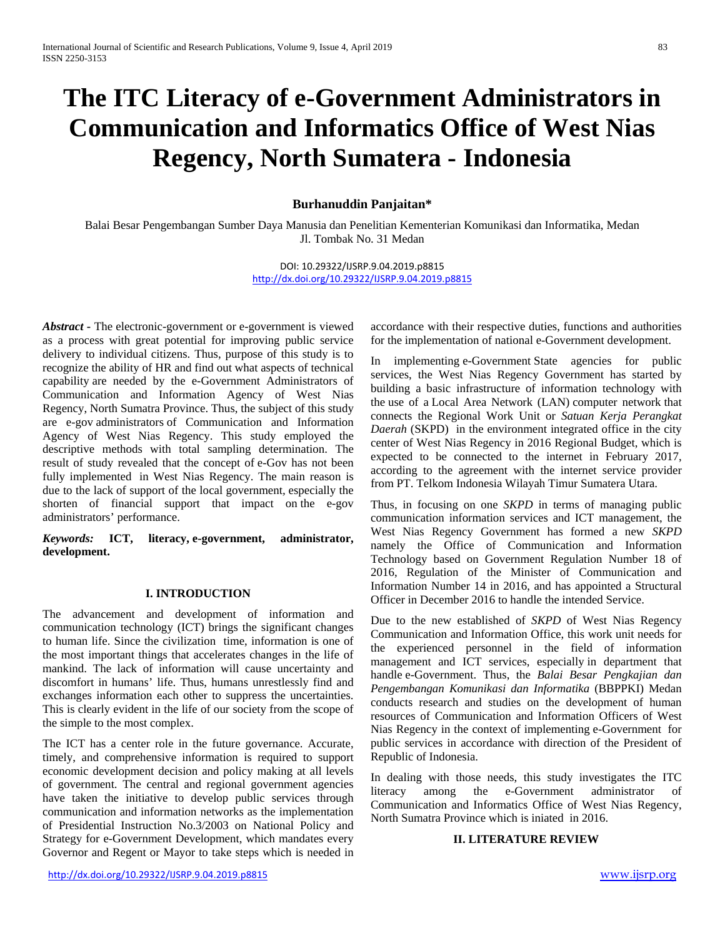# **The ITC Literacy of e-Government Administrators in Communication and Informatics Office of West Nias Regency, North Sumatera - Indonesia**

# **Burhanuddin Panjaitan\***

Balai Besar Pengembangan Sumber Daya Manusia dan Penelitian Kementerian Komunikasi dan Informatika, Medan Jl. Tombak No. 31 Medan

> DOI: 10.29322/IJSRP.9.04.2019.p8815 <http://dx.doi.org/10.29322/IJSRP.9.04.2019.p8815>

*Abstract* **-** The electronic-government or e-government is viewed as a process with great potential for improving public service delivery to individual citizens. Thus, purpose of this study is to recognize the ability of HR and find out what aspects of technical capability are needed by the e-Government Administrators of Communication and Information Agency of West Nias Regency, North Sumatra Province. Thus, the subject of this study are e-gov administrators of Communication and Information Agency of West Nias Regency. This study employed the descriptive methods with total sampling determination. The result of study revealed that the concept of e-Gov has not been fully implemented in West Nias Regency. The main reason is due to the lack of support of the local government*,* especially the shorten of financial support that impact on the e-gov administrators' performance.

*Keywords:* **ICT, literacy, e-government, administrator, development.**

#### **I. INTRODUCTION**

The advancement and development of information and communication technology (ICT) brings the significant changes to human life. Since the civilization time, information is one of the most important things that accelerates changes in the life of mankind. The lack of information will cause uncertainty and discomfort in humans' life. Thus, humans unrestlessly find and exchanges information each other to suppress the uncertainties. This is clearly evident in the life of our society from the scope of the simple to the most complex.

The ICT has a center role in the future governance. Accurate, timely, and comprehensive information is required to support economic development decision and policy making at all levels of government. The central and regional government agencies have taken the initiative to develop public services through communication and information networks as the implementation of Presidential Instruction No.3/2003 on National Policy and Strategy for e-Government Development, which mandates every Governor and Regent or Mayor to take steps which is needed in accordance with their respective duties, functions and authorities for the implementation of national e-Government development.

In implementing e-Government State agencies for public services, the West Nias Regency Government has started by building a basic infrastructure of information technology with the use of a Local Area Network (LAN) computer network that connects the Regional Work Unit or *Satuan Kerja Perangkat Daerah* (SKPD) in the environment integrated office in the city center of West Nias Regency in 2016 Regional Budget, which is expected to be connected to the internet in February 2017, according to the agreement with the internet service provider from PT. Telkom Indonesia Wilayah Timur Sumatera Utara.

Thus, in focusing on one *SKPD* in terms of managing public communication information services and ICT management, the West Nias Regency Government has formed a new *SKPD* namely the Office of Communication and Information Technology based on Government Regulation Number 18 of 2016, Regulation of the Minister of Communication and Information Number 14 in 2016, and has appointed a Structural Officer in December 2016 to handle the intended Service.

Due to the new established of *SKPD* of West Nias Regency Communication and Information Office, this work unit needs for the experienced personnel in the field of information management and ICT services, especially in department that handle e-Government. Thus, the *Balai Besar Pengkajian dan Pengembangan Komunikasi dan Informatika* (BBPPKI) Medan conducts research and studies on the development of human resources of Communication and Information Officers of West Nias Regency in the context of implementing e-Government for public services in accordance with direction of the President of Republic of Indonesia.

In dealing with those needs, this study investigates the ITC literacy among the e-Government administrator of Communication and Informatics Office of West Nias Regency, North Sumatra Province which is iniated in 2016.

## **II. LITERATURE REVIEW**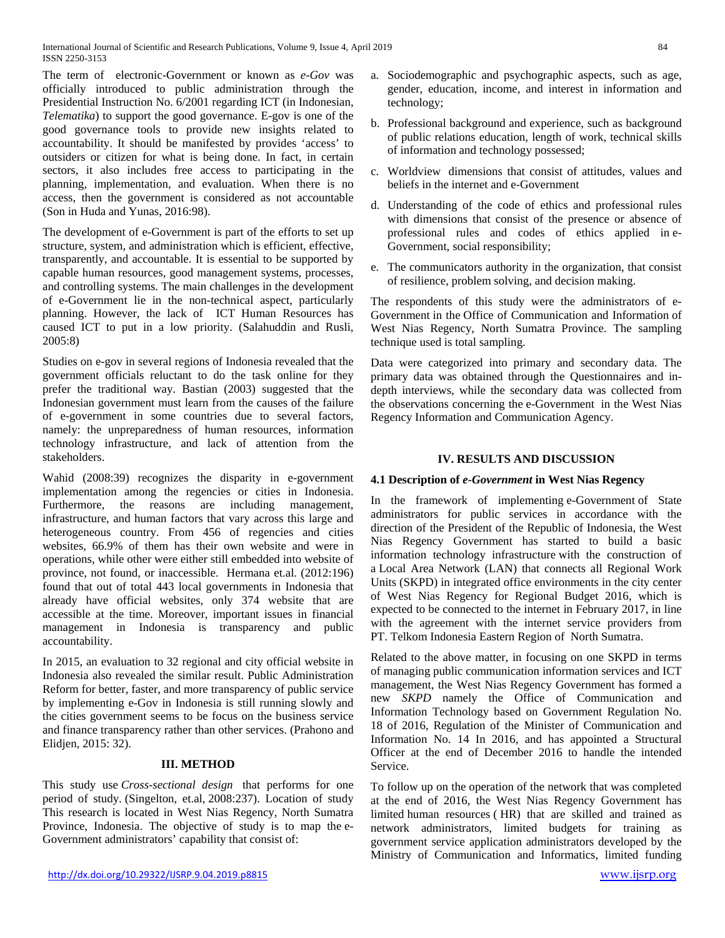The term of electronic-Government or known as *e-Gov* was officially introduced to public administration through the Presidential Instruction No. 6/2001 regarding ICT (in Indonesian, *Telematika*) to support the good governance. E-gov is one of the good governance tools to provide new insights related to accountability. It should be manifested by provides 'access' to outsiders or citizen for what is being done. In fact, in certain sectors, it also includes free access to participating in the planning, implementation, and evaluation. When there is no access, then the government is considered as not accountable (Son in Huda and Yunas, 2016:98).

The development of e-Government is part of the efforts to set up structure, system, and administration which is efficient, effective, transparently, and accountable. It is essential to be supported by capable human resources, good management systems, processes, and controlling systems. The main challenges in the development of e-Government lie in the non-technical aspect, particularly planning. However, the lack of ICT Human Resources has caused ICT to put in a low priority. (Salahuddin and Rusli, 2005:8)

Studies on e-gov in several regions of Indonesia revealed that the government officials reluctant to do the task online for they prefer the traditional way. Bastian (2003) suggested that the Indonesian government must learn from the causes of the failure of e-government in some countries due to several factors, namely: the unpreparedness of human resources, information technology infrastructure, and lack of attention from the stakeholders.

Wahid (2008:39) recognizes the disparity in e-government implementation among the regencies or cities in Indonesia. Furthermore, the reasons are including management, infrastructure, and human factors that vary across this large and heterogeneous country. From 456 of regencies and cities websites, 66.9% of them has their own website and were in operations, while other were either still embedded into website of province, not found, or inaccessible. Hermana et.al. (2012:196) found that out of total 443 local governments in Indonesia that already have official websites, only 374 website that are accessible at the time. Moreover, important issues in financial management in Indonesia is transparency and public accountability.

In 2015, an evaluation to 32 regional and city official website in Indonesia also revealed the similar result. Public Administration Reform for better, faster, and more transparency of public service by implementing e-Gov in Indonesia is still running slowly and the cities government seems to be focus on the business service and finance transparency rather than other services. (Prahono and Elidjen, 2015: 32).

#### **III. METHOD**

This study use *Cross-sectional design* that performs for one period of study. (Singelton, et.al, 2008:237). Location of study This research is located in West Nias Regency, North Sumatra Province, Indonesia. The objective of study is to map the e-Government administrators' capability that consist of:

- a. Sociodemographic and psychographic aspects, such as age, gender, education, income, and interest in information and technology;
- b. Professional background and experience, such as background of public relations education, length of work, technical skills of information and technology possessed;
- c. Worldview dimensions that consist of attitudes, values and beliefs in the internet and e-Government
- d. Understanding of the code of ethics and professional rules with dimensions that consist of the presence or absence of professional rules and codes of ethics applied in e-Government, social responsibility;
- e. The communicators authority in the organization, that consist of resilience, problem solving, and decision making.

The respondents of this study were the administrators of e-Government in the Office of Communication and Information of West Nias Regency, North Sumatra Province. The sampling technique used is total sampling.

Data were categorized into primary and secondary data. The primary data was obtained through the Questionnaires and indepth interviews, while the secondary data was collected from the observations concerning the e-Government in the West Nias Regency Information and Communication Agency.

## **IV. RESULTS AND DISCUSSION**

## **4.1 Description of** *e-Government* **in West Nias Regency**

In the framework of implementing e-Government of State administrators for public services in accordance with the direction of the President of the Republic of Indonesia, the West Nias Regency Government has started to build a basic information technology infrastructure with the construction of a Local Area Network (LAN) that connects all Regional Work Units (SKPD) in integrated office environments in the city center of West Nias Regency for Regional Budget 2016, which is expected to be connected to the internet in February 2017, in line with the agreement with the internet service providers from PT. Telkom Indonesia Eastern Region of North Sumatra.

Related to the above matter, in focusing on one SKPD in terms of managing public communication information services and ICT management, the West Nias Regency Government has formed a new *SKPD* namely the Office of Communication and Information Technology based on Government Regulation No. 18 of 2016, Regulation of the Minister of Communication and Information No. 14 In 2016, and has appointed a Structural Officer at the end of December 2016 to handle the intended Service.

To follow up on the operation of the network that was completed at the end of 2016, the West Nias Regency Government has limited human resources ( HR) that are skilled and trained as network administrators, limited budgets for training as government service application administrators developed by the Ministry of Communication and Informatics, limited funding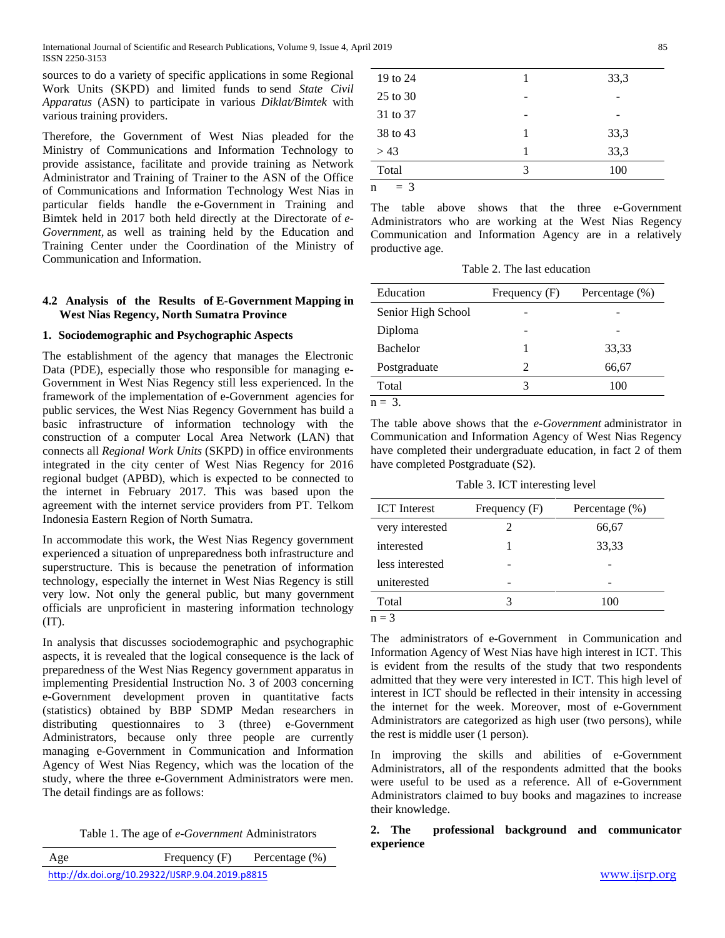International Journal of Scientific and Research Publications, Volume 9, Issue 4, April 2019 85 ISSN 2250-3153

sources to do a variety of specific applications in some Regional Work Units (SKPD) and limited funds to send *State Civil Apparatus* (ASN) to participate in various *Diklat/Bimtek* with various training providers.

Therefore, the Government of West Nias pleaded for the Ministry of Communications and Information Technology to provide assistance, facilitate and provide training as Network Administrator and Training of Trainer to the ASN of the Office of Communications and Information Technology West Nias in particular fields handle the e-Government in Training and Bimtek held in 2017 both held directly at the Directorate of *e-Government,* as well as training held by the Education and Training Center under the Coordination of the Ministry of Communication and Information.

## **4.2 Analysis of the Results of E-Government Mapping in West Nias Regency, North Sumatra Province**

#### **1. Sociodemographic and Psychographic Aspects**

The establishment of the agency that manages the Electronic Data (PDE), especially those who responsible for managing e-Government in West Nias Regency still less experienced. In the framework of the implementation of e-Government agencies for public services, the West Nias Regency Government has build a basic infrastructure of information technology with the construction of a computer Local Area Network (LAN) that connects all *Regional Work Units* (SKPD) in office environments integrated in the city center of West Nias Regency for 2016 regional budget (APBD), which is expected to be connected to the internet in February 2017. This was based upon the agreement with the internet service providers from PT. Telkom Indonesia Eastern Region of North Sumatra.

In accommodate this work, the West Nias Regency government experienced a situation of unpreparedness both infrastructure and superstructure. This is because the penetration of information technology, especially the internet in West Nias Regency is still very low. Not only the general public, but many government officials are unproficient in mastering information technology (IT).

In analysis that discusses sociodemographic and psychographic aspects, it is revealed that the logical consequence is the lack of preparedness of the West Nias Regency government apparatus in implementing Presidential Instruction No. 3 of 2003 concerning e-Government development proven in quantitative facts (statistics) obtained by BBP SDMP Medan researchers in distributing questionnaires to 3 (three) e-Government Administrators, because only three people are currently managing e-Government in Communication and Information Agency of West Nias Regency, which was the location of the study, where the three e-Government Administrators were men. The detail findings are as follows:

Table 1. The age of *e-Government* Administrators

| 19 to 24   |   | 33,3 |
|------------|---|------|
| 25 to 30   |   |      |
| 31 to 37   |   |      |
| 38 to 43   |   | 33,3 |
| > 43       |   | 33,3 |
| Total      | 3 | 100  |
| $=$ 3<br>n |   |      |

The table above shows that the three e-Government Administrators who are working at the West Nias Regency Communication and Information Agency are in a relatively productive age.

Table 2. The last education

| Education          | Frequency $(F)$ | Percentage $(\%)$ |
|--------------------|-----------------|-------------------|
| Senior High School |                 |                   |
| Diploma            |                 |                   |
| <b>Bachelor</b>    |                 | 33,33             |
| Postgraduate       | 2               | 66,67             |
| Total              |                 | 100               |
| $n = 3$ .          |                 |                   |

The table above shows that the *e-Government* administrator in Communication and Information Agency of West Nias Regency have completed their undergraduate education, in fact 2 of them have completed Postgraduate (S2).

Table 3. ICT interesting level

| <b>ICT</b> Interest | Frequency $(F)$ | Percentage $(\%)$ |
|---------------------|-----------------|-------------------|
| very interested     |                 | 66,67             |
| interested          |                 | 33,33             |
| less interested     |                 |                   |
| uniterested         |                 |                   |
| Total               | 3               | 100               |
| $n = 3$             |                 |                   |

The administrators of e-Government in Communication and Information Agency of West Nias have high interest in ICT. This is evident from the results of the study that two respondents admitted that they were very interested in ICT. This high level of interest in ICT should be reflected in their intensity in accessing the internet for the week. Moreover, most of e-Government Administrators are categorized as high user (two persons), while the rest is middle user (1 person).

In improving the skills and abilities of e-Government Administrators, all of the respondents admitted that the books were useful to be used as a reference. All of e-Government Administrators claimed to buy books and magazines to increase their knowledge.

## **2. The professional background and communicator experience**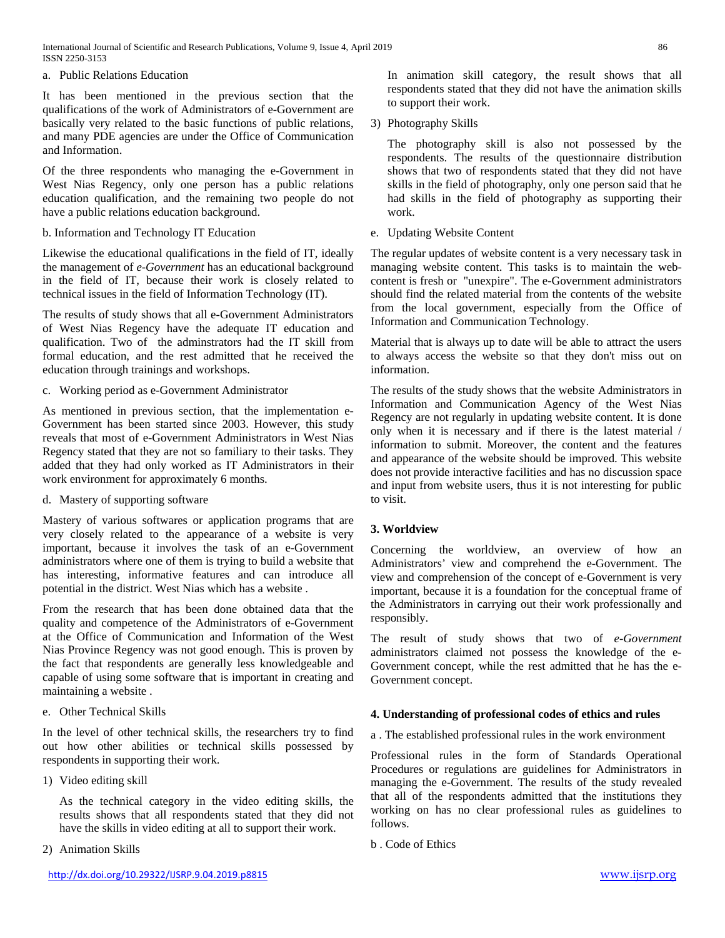International Journal of Scientific and Research Publications, Volume 9, Issue 4, April 2019 86 ISSN 2250-3153

a. Public Relations Education

It has been mentioned in the previous section that the qualifications of the work of Administrators of e-Government are basically very related to the basic functions of public relations, and many PDE agencies are under the Office of Communication and Information.

Of the three respondents who managing the e-Government in West Nias Regency, only one person has a public relations education qualification, and the remaining two people do not have a public relations education background.

b. Information and Technology IT Education

Likewise the educational qualifications in the field of IT, ideally the management of *e-Government* has an educational background in the field of IT, because their work is closely related to technical issues in the field of Information Technology (IT).

The results of study shows that all e-Government Administrators of West Nias Regency have the adequate IT education and qualification. Two of the adminstrators had the IT skill from formal education, and the rest admitted that he received the education through trainings and workshops.

c. Working period as e-Government Administrator

As mentioned in previous section, that the implementation e-Government has been started since 2003. However, this study reveals that most of e-Government Administrators in West Nias Regency stated that they are not so familiary to their tasks. They added that they had only worked as IT Administrators in their work environment for approximately 6 months.

d. Mastery of supporting software

Mastery of various softwares or application programs that are very closely related to the appearance of a website is very important, because it involves the task of an e-Government administrators where one of them is trying to build a website that has interesting, informative features and can introduce all potential in the district. West Nias which has a website .

From the research that has been done obtained data that the quality and competence of the Administrators of e-Government at the Office of Communication and Information of the West Nias Province Regency was not good enough. This is proven by the fact that respondents are generally less knowledgeable and capable of using some software that is important in creating and maintaining a website .

e. Other Technical Skills

In the level of other technical skills, the researchers try to find out how other abilities or technical skills possessed by respondents in supporting their work.

1) Video editing skill

As the technical category in the video editing skills, the results shows that all respondents stated that they did not have the skills in video editing at all to support their work.

2) Animation Skills

In animation skill category, the result shows that all respondents stated that they did not have the animation skills to support their work.

3) Photography Skills

The photography skill is also not possessed by the respondents. The results of the questionnaire distribution shows that two of respondents stated that they did not have skills in the field of photography, only one person said that he had skills in the field of photography as supporting their work.

e. Updating Website Content

The regular updates of website content is a very necessary task in managing website content. This tasks is to maintain the webcontent is fresh or "unexpire". The e-Government administrators should find the related material from the contents of the website from the local government, especially from the Office of Information and Communication Technology.

Material that is always up to date will be able to attract the users to always access the website so that they don't miss out on information.

The results of the study shows that the website Administrators in Information and Communication Agency of the West Nias Regency are not regularly in updating website content. It is done only when it is necessary and if there is the latest material / information to submit. Moreover, the content and the features and appearance of the website should be improved. This website does not provide interactive facilities and has no discussion space and input from website users, thus it is not interesting for public to visit.

#### **3. Worldview**

Concerning the worldview, an overview of how an Administrators' view and comprehend the e-Government. The view and comprehension of the concept of e-Government is very important, because it is a foundation for the conceptual frame of the Administrators in carrying out their work professionally and responsibly.

The result of study shows that two of *e-Government* administrators claimed not possess the knowledge of the e-Government concept, while the rest admitted that he has the e-Government concept.

## **4. Understanding of professional codes of ethics and rules**

a . The established professional rules in the work environment

Professional rules in the form of Standards Operational Procedures or regulations are guidelines for Administrators in managing the e-Government. The results of the study revealed that all of the respondents admitted that the institutions they working on has no clear professional rules as guidelines to follows.

b . Code of Ethics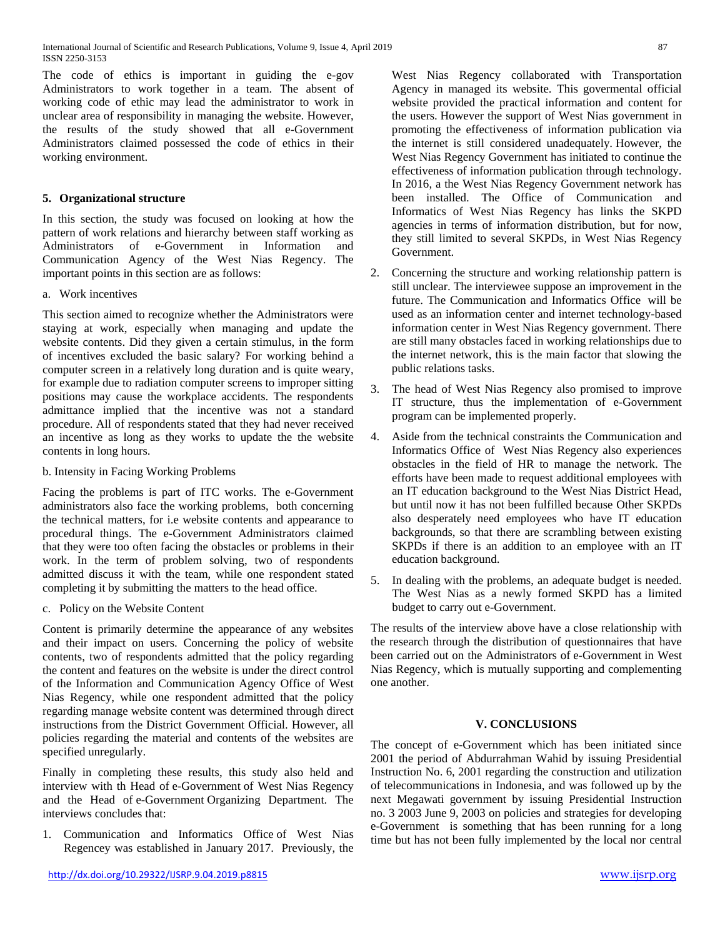The code of ethics is important in guiding the e-gov Administrators to work together in a team. The absent of working code of ethic may lead the administrator to work in unclear area of responsibility in managing the website. However, the results of the study showed that all e-Government Administrators claimed possessed the code of ethics in their working environment.

## **5. Organizational structure**

In this section, the study was focused on looking at how the pattern of work relations and hierarchy between staff working as Administrators of e-Government in Information and Communication Agency of the West Nias Regency. The important points in this section are as follows:

a. Work incentives

This section aimed to recognize whether the Administrators were staying at work, especially when managing and update the website contents. Did they given a certain stimulus, in the form of incentives excluded the basic salary? For working behind a computer screen in a relatively long duration and is quite weary, for example due to radiation computer screens to improper sitting positions may cause the workplace accidents. The respondents admittance implied that the incentive was not a standard procedure. All of respondents stated that they had never received an incentive as long as they works to update the the website contents in long hours.

b. Intensity in Facing Working Problems

Facing the problems is part of ITC works. The e-Government administrators also face the working problems, both concerning the technical matters, for i.e website contents and appearance to procedural things. The e-Government Administrators claimed that they were too often facing the obstacles or problems in their work. In the term of problem solving, two of respondents admitted discuss it with the team, while one respondent stated completing it by submitting the matters to the head office.

c. Policy on the Website Content

Content is primarily determine the appearance of any websites and their impact on users. Concerning the policy of website contents, two of respondents admitted that the policy regarding the content and features on the website is under the direct control of the Information and Communication Agency Office of West Nias Regency, while one respondent admitted that the policy regarding manage website content was determined through direct instructions from the District Government Official. However, all policies regarding the material and contents of the websites are specified unregularly.

Finally in completing these results, this study also held and interview with th Head of e-Government of West Nias Regency and the Head of e-Government Organizing Department. The interviews concludes that:

1. Communication and Informatics Office of West Nias Regencey was established in January 2017. Previously, the West Nias Regency collaborated with Transportation Agency in managed its website. This govermental official website provided the practical information and content for the users. However the support of West Nias government in promoting the effectiveness of information publication via the internet is still considered unadequately. However, the West Nias Regency Government has initiated to continue the effectiveness of information publication through technology. In 2016, a the West Nias Regency Government network has been installed. The Office of Communication and Informatics of West Nias Regency has links the SKPD agencies in terms of information distribution, but for now, they still limited to several SKPDs, in West Nias Regency Government.

- 2. Concerning the structure and working relationship pattern is still unclear. The interviewee suppose an improvement in the future. The Communication and Informatics Office will be used as an information center and internet technology-based information center in West Nias Regency government. There are still many obstacles faced in working relationships due to the internet network, this is the main factor that slowing the public relations tasks.
- 3. The head of West Nias Regency also promised to improve IT structure, thus the implementation of e-Government program can be implemented properly.
- 4. Aside from the technical constraints the Communication and Informatics Office of West Nias Regency also experiences obstacles in the field of HR to manage the network. The efforts have been made to request additional employees with an IT education background to the West Nias District Head, but until now it has not been fulfilled because Other SKPDs also desperately need employees who have IT education backgrounds, so that there are scrambling between existing SKPDs if there is an addition to an employee with an IT education background.
- 5. In dealing with the problems, an adequate budget is needed. The West Nias as a newly formed SKPD has a limited budget to carry out e-Government.

The results of the interview above have a close relationship with the research through the distribution of questionnaires that have been carried out on the Administrators of e-Government in West Nias Regency, which is mutually supporting and complementing one another.

## **V. CONCLUSIONS**

The concept of e-Government which has been initiated since 2001 the period of Abdurrahman Wahid by issuing Presidential Instruction No. 6, 2001 regarding the construction and utilization of telecommunications in Indonesia, and was followed up by the next Megawati government by issuing Presidential Instruction no. 3 2003 June 9, 2003 on policies and strategies for developing e-Government is something that has been running for a long time but has not been fully implemented by the local nor central